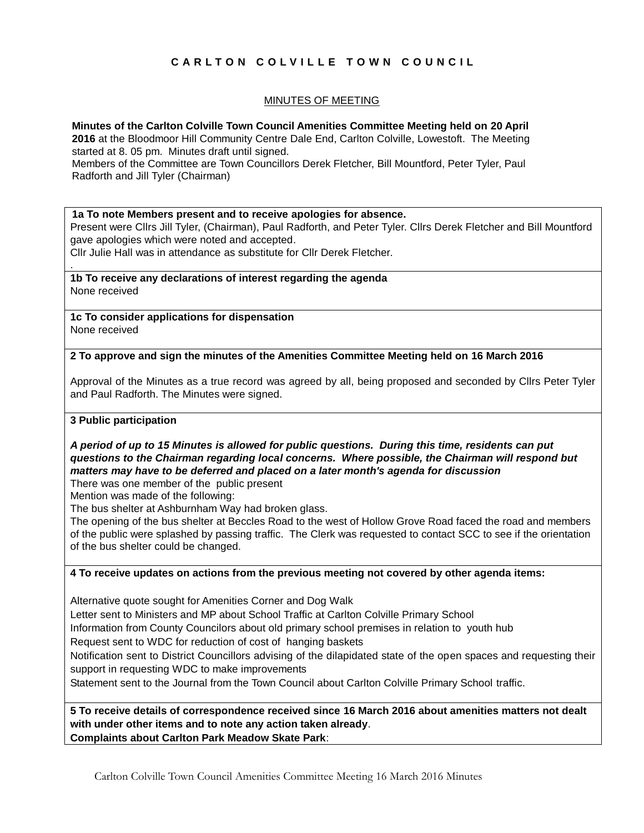# **C A R L T O N C O L V I L L E T O W N C O U N C I L**

# MINUTES OF MEETING

**Minutes of the Carlton Colville Town Council Amenities Committee Meeting held on 20 April**

**2016** at the Bloodmoor Hill Community Centre Dale End, Carlton Colville, Lowestoft. The Meeting started at 8. 05 pm. Minutes draft until signed.

Members of the Committee are Town Councillors Derek Fletcher, Bill Mountford, Peter Tyler, Paul Radforth and Jill Tyler (Chairman)

#### **1a To note Members present and to receive apologies for absence.**

Present were Cllrs Jill Tyler, (Chairman), Paul Radforth, and Peter Tyler. Cllrs Derek Fletcher and Bill Mountford gave apologies which were noted and accepted.

Cllr Julie Hall was in attendance as substitute for Cllr Derek Fletcher.

**1b To receive any declarations of interest regarding the agenda** None received

**1c To consider applications for dispensation** None received

## **2 To approve and sign the minutes of the Amenities Committee Meeting held on 16 March 2016**

Approval of the Minutes as a true record was agreed by all, being proposed and seconded by Cllrs Peter Tyler and Paul Radforth. The Minutes were signed.

#### **3 Public participation**

.

# *A period of up to 15 Minutes is allowed for public questions. During this time, residents can put questions to the Chairman regarding local concerns. Where possible, the Chairman will respond but matters may have to be deferred and placed on a later month's agenda for discussion*

There was one member of the public present

Mention was made of the following:

The bus shelter at Ashburnham Way had broken glass.

The opening of the bus shelter at Beccles Road to the west of Hollow Grove Road faced the road and members of the public were splashed by passing traffic. The Clerk was requested to contact SCC to see if the orientation of the bus shelter could be changed.

## **4 To receive updates on actions from the previous meeting not covered by other agenda items:**

Alternative quote sought for Amenities Corner and Dog Walk

Letter sent to Ministers and MP about School Traffic at Carlton Colville Primary School

Information from County Councilors about old primary school premises in relation to youth hub

Request sent to WDC for reduction of cost of hanging baskets

Notification sent to District Councillors advising of the dilapidated state of the open spaces and requesting their support in requesting WDC to make improvements

Statement sent to the Journal from the Town Council about Carlton Colville Primary School traffic.

**5 To receive details of correspondence received since 16 March 2016 about amenities matters not dealt with under other items and to note any action taken already**. **Complaints about Carlton Park Meadow Skate Park**: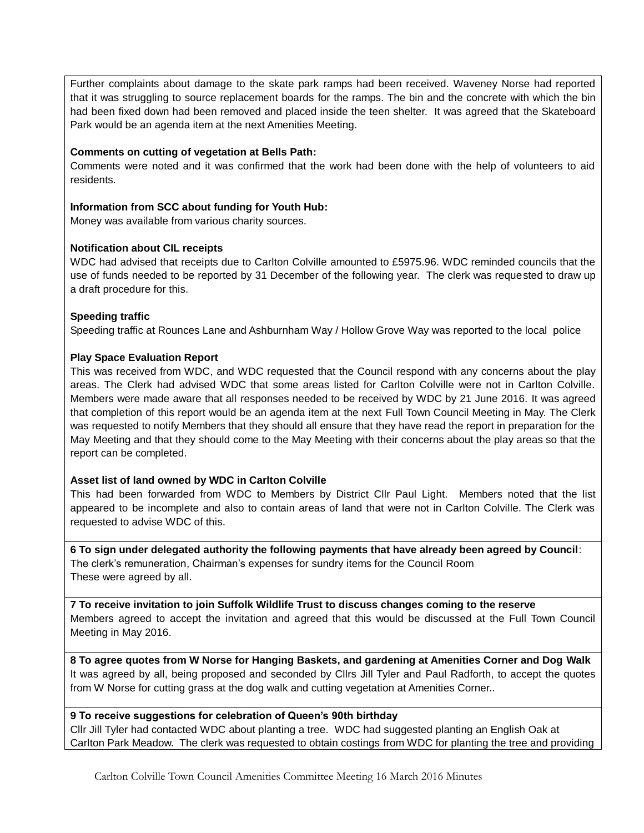Further complaints about damage to the skate park ramps had been received. Waveney Norse had reported that it was struggling to source replacement boards for the ramps. The bin and the concrete with which the bin had been fixed down had been removed and placed inside the teen shelter. It was agreed that the Skateboard Park would be an agenda item at the next Amenities Meeting.

## **Comments on cutting of vegetation at Bells Path:**

Comments were noted and it was confirmed that the work had been done with the help of volunteers to aid residents.

## **Information from SCC about funding for Youth Hub:**

Money was available from various charity sources.

## **Notification about CIL receipts**

WDC had advised that receipts due to Carlton Colville amounted to £5975.96. WDC reminded councils that the use of funds needed to be reported by 31 December of the following year. The clerk was requested to draw up a draft procedure for this.

## **Speeding traffic**

Speeding traffic at Rounces Lane and Ashburnham Way / Hollow Grove Way was reported to the local police

## **Play Space Evaluation Report**

This was received from WDC, and WDC requested that the Council respond with any concerns about the play areas. The Clerk had advised WDC that some areas listed for Carlton Colville were not in Carlton Colville. Members were made aware that all responses needed to be received by WDC by 21 June 2016. It was agreed that completion of this report would be an agenda item at the next Full Town Council Meeting in May. The Clerk was requested to notify Members that they should all ensure that they have read the report in preparation for the May Meeting and that they should come to the May Meeting with their concerns about the play areas so that the report can be completed.

# **Asset list of land owned by WDC in Carlton Colville**

This had been forwarded from WDC to Members by District Cllr Paul Light. Members noted that the list appeared to be incomplete and also to contain areas of land that were not in Carlton Colville. The Clerk was requested to advise WDC of this.

**6 To sign under delegated authority the following payments that have already been agreed by Council**: The clerk's remuneration, Chairman's expenses for sundry items for the Council Room These were agreed by all.

**7 To receive invitation to join Suffolk Wildlife Trust to discuss changes coming to the reserve** Members agreed to accept the invitation and agreed that this would be discussed at the Full Town Council Meeting in May 2016.

**8 To agree quotes from W Norse for Hanging Baskets, and gardening at Amenities Corner and Dog Walk**  It was agreed by all, being proposed and seconded by Cllrs Jill Tyler and Paul Radforth, to accept the quotes from W Norse for cutting grass at the dog walk and cutting vegetation at Amenities Corner..

#### **9 To receive suggestions for celebration of Queen's 90th birthday**

Cllr Jill Tyler had contacted WDC about planting a tree. WDC had suggested planting an English Oak at Carlton Park Meadow. The clerk was requested to obtain costings from WDC for planting the tree and providing